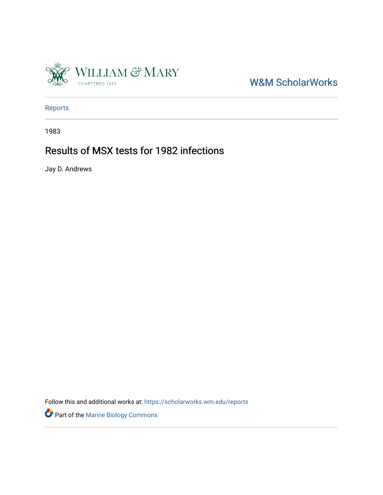

W&M ScholarWorks

[Reports](https://scholarworks.wm.edu/reports)

1983

## Results of MSX tests for 1982 infections

Jay D. Andrews

Follow this and additional works at: [https://scholarworks.wm.edu/reports](https://scholarworks.wm.edu/reports?utm_source=scholarworks.wm.edu%2Freports%2F2767&utm_medium=PDF&utm_campaign=PDFCoverPages)

Part of the [Marine Biology Commons](https://network.bepress.com/hgg/discipline/1126?utm_source=scholarworks.wm.edu%2Freports%2F2767&utm_medium=PDF&utm_campaign=PDFCoverPages)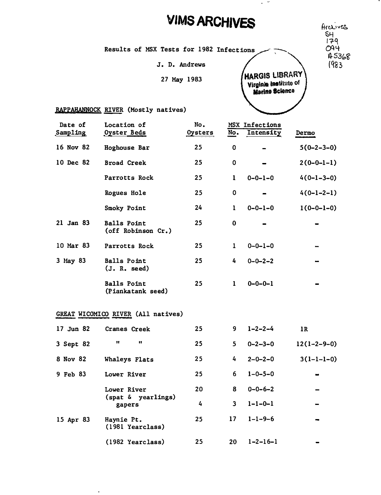## **VIMS ARCHIVES**

Results of MSX Tests for 1982

J. D. Andrews

27 May 1983

 $S_H$ /?-q  $O94$ 15368  $1983$ 



 $\sim$   $^{-1}$ 

## RAPPAHANNOCK RIVER (Mostly natives)

 $\ddot{\phantom{a}}$ 

| Date of<br>Sampling | Location of<br>Oyster Beds               | No.<br>Oysters | No.          | MSX Infections<br>Intensity | Dermo         |
|---------------------|------------------------------------------|----------------|--------------|-----------------------------|---------------|
| 16 Nov 82           | Hoghouse Bar                             | 25             | 0            |                             | $5(0-2-3-0)$  |
| 10 Dec 82           | <b>Broad Creek</b>                       | 25             | 0            |                             | $2(0-0-1-1)$  |
|                     | Parrotts Rock                            | 25             | 1            | $0 - 0 - 1 - 0$             | $4(0-1-3-0)$  |
|                     | Rogues Hole                              | 25             | 0            |                             | $4(0-1-2-1)$  |
|                     | Smoky Point                              | 24             | $\mathbf{1}$ | $0 - 0 - 1 - 0$             | $1(0-0-1-0)$  |
| 21 Jan 83           | <b>Balls Point</b><br>(off Robinson Cr.) | 25             | 0            |                             |               |
| 10 Mar 83           | Parrotts Rock                            | 25             | $\mathbf 1$  | $0 - 0 - 1 - 0$             |               |
| 3 May 83            | <b>Balls Point</b><br>(J. R. seed)       | 25             | 4            | $0 - 0 - 2 - 2$             |               |
|                     | <b>Balls Point</b><br>(Piankatank seed)  | 25             | 1            | $0 - 0 - 0 - 1$             |               |
|                     | GREAT WICOMICO RIVER (All natives)       |                |              |                             |               |
| 17 Jun 82           | Cranes Creek                             | 25             | 9            | $1 - 2 - 2 - 4$             | 1R            |
| 3 Sept 82           | Ħ<br>$\pmb{\mathsf{H}}$                  | 25             | 5.           | $0 - 2 - 3 - 0$             | $12(1-2-9-0)$ |
| 8 Nov 82            | Whaleys Flats                            | 25             | 4            | $2 - 0 - 2 - 0$             | $3(1-1-1-0)$  |
| 9 Feb 83            | Lower River                              | 25             | 6            | $1 - 0 - 5 - 0$             |               |
|                     | Lower River                              | 20             | 8            | $0 - 0 - 6 - 2$             |               |
|                     | (spat & yearlings)<br>gapers             | 4              | 3            | $1 - 1 - 0 - 1$             |               |
| 15 Apr 83           | Haynie Pt.<br>(1981 Yearclass)           | 25             | 17           | $1 - 1 - 9 - 6$             |               |
|                     | (1982 Yearclass)                         | 25             | 20           | $1 - 2 - 16 - 1$            |               |